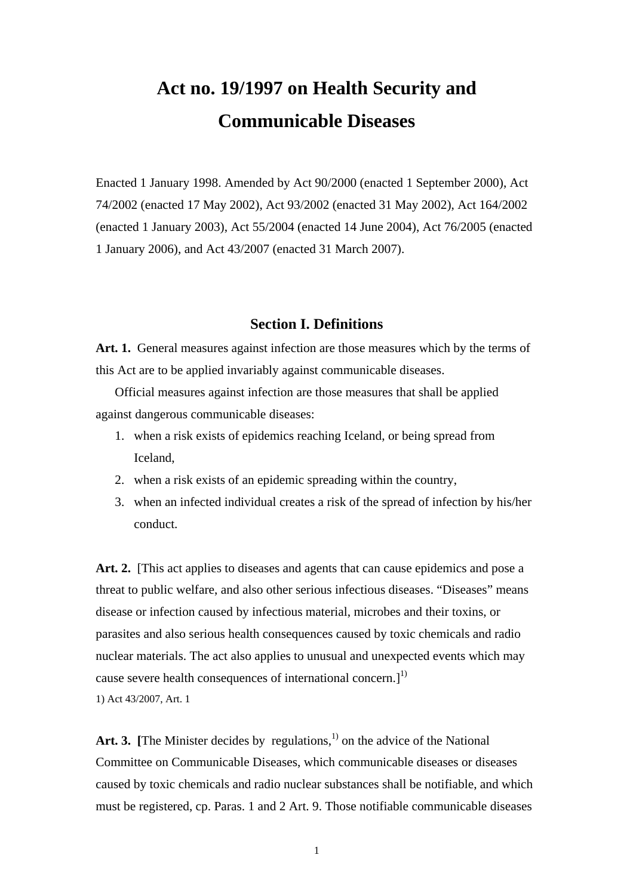# **Act no. 19/1997 on Health Security and Communicable Diseases**

Enacted 1 January 1998. Amended by Act 90/2000 (enacted 1 September 2000), Act 74/2002 (enacted 17 May 2002), Act 93/2002 (enacted 31 May 2002), Act 164/2002 (enacted 1 January 2003), Act 55/2004 (enacted 14 June 2004), Act 76/2005 (enacted 1 January 2006), and Act 43/2007 (enacted 31 March 2007).

### **Section I. Definitions**

**Art. 1.** General measures against infection are those measures which by the terms of this Act are to be applied invariably against communicable diseases.

Official measures against infection are those measures that shall be applied against dangerous communicable diseases:

- 1. when a risk exists of epidemics reaching Iceland, or being spread from Iceland,
- 2. when a risk exists of an epidemic spreading within the country,
- 3. when an infected individual creates a risk of the spread of infection by his/her conduct.

Art. 2. [This act applies to diseases and agents that can cause epidemics and pose a threat to public welfare, and also other serious infectious diseases. "Diseases" means disease or infection caused by infectious material, microbes and their toxins, or parasites and also serious health consequences caused by toxic chemicals and radio nuclear materials. The act also applies to unusual and unexpected events which may cause severe health consequences of international concern.]<sup>1)</sup> 1) Act 43/2007, Art. 1

Art. 3. **[The Minister decides by regulations.**<sup>1)</sup> on the advice of the National Committee on Communicable Diseases, which communicable diseases or diseases caused by toxic chemicals and radio nuclear substances shall be notifiable, and which must be registered, cp. Paras. 1 and 2 Art. 9. Those notifiable communicable diseases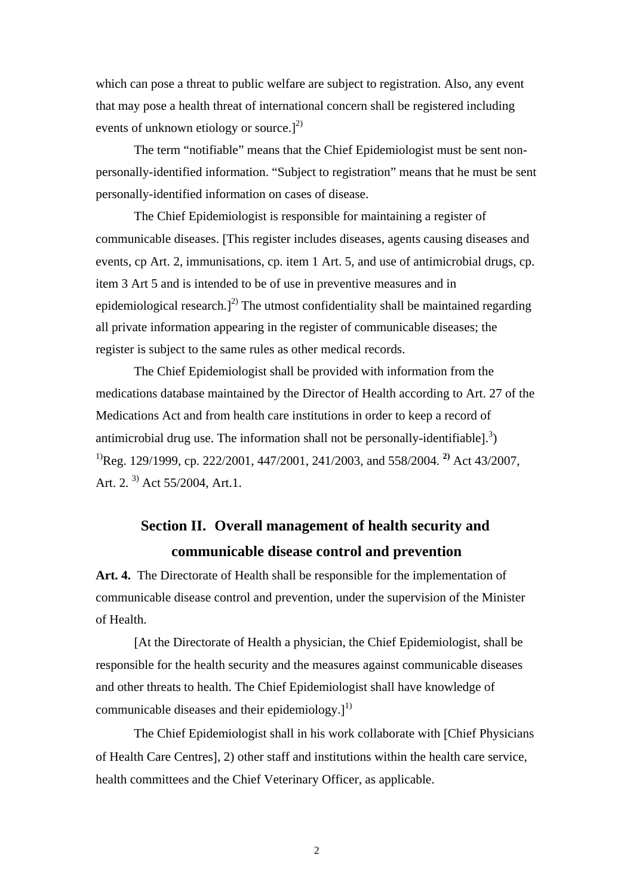which can pose a threat to public welfare are subject to registration. Also, any event that may pose a health threat of international concern shall be registered including events of unknown etiology or source.<sup>[2]</sup>

The term "notifiable" means that the Chief Epidemiologist must be sent nonpersonally-identified information. "Subject to registration" means that he must be sent personally-identified information on cases of disease.

The Chief Epidemiologist is responsible for maintaining a register of communicable diseases. [This register includes diseases, agents causing diseases and events, cp Art. 2, immunisations, cp. item 1 Art. 5, and use of antimicrobial drugs, cp. item 3 Art 5 and is intended to be of use in preventive measures and in epidemiological research.]<sup>2)</sup> The utmost confidentiality shall be maintained regarding all private information appearing in the register of communicable diseases; the register is subject to the same rules as other medical records.

The Chief Epidemiologist shall be provided with information from the medications database maintained by the Director of Health according to Art. 27 of the Medications Act and from health care institutions in order to keep a record of antimicrobial drug use. The information shall not be personally-identifiable].<sup>3</sup>) 1)Reg. 129/1999, cp. 222/2001, 447/2001, 241/2003, and 558/2004. **2)** Act 43/2007, Art. 2.  $3)$  Act 55/2004, Art. 1.

# **Section II. Overall management of health security and communicable disease control and prevention**

**Art. 4.** The Directorate of Health shall be responsible for the implementation of communicable disease control and prevention, under the supervision of the Minister of Health.

[At the Directorate of Health a physician, the Chief Epidemiologist, shall be responsible for the health security and the measures against communicable diseases and other threats to health. The Chief Epidemiologist shall have knowledge of communicable diseases and their epidemiology.] $^{1)}$ 

The Chief Epidemiologist shall in his work collaborate with [Chief Physicians of Health Care Centres], 2) other staff and institutions within the health care service, health committees and the Chief Veterinary Officer, as applicable.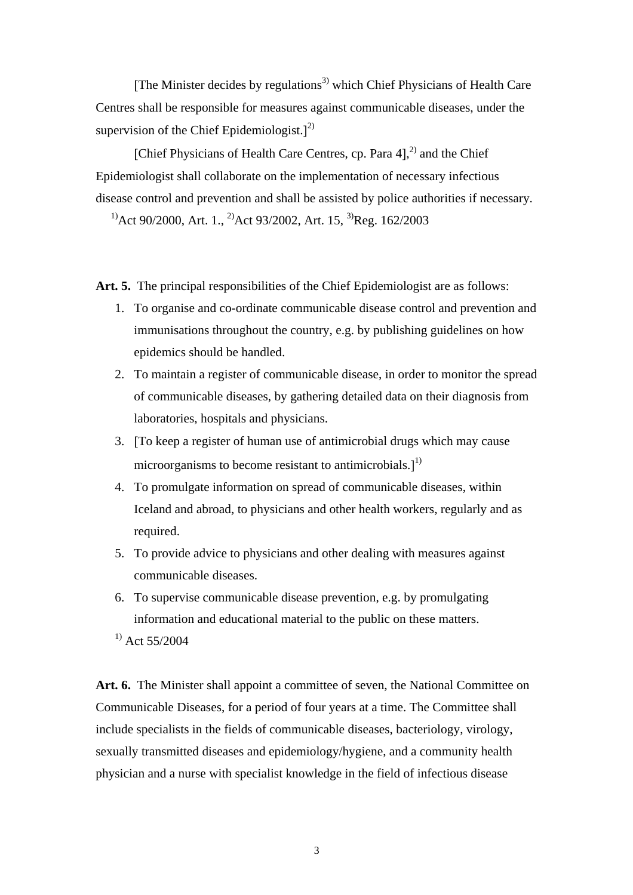[The Minister decides by regulations<sup>3)</sup> which Chief Physicians of Health Care Centres shall be responsible for measures against communicable diseases, under the supervision of the Chief Epidemiologist.] $^{2)}$ 

[Chief Physicians of Health Care Centres, cp. Para 4],<sup>2)</sup> and the Chief Epidemiologist shall collaborate on the implementation of necessary infectious disease control and prevention and shall be assisted by police authorities if necessary.

<sup>1)</sup>Act 90/2000, Art. 1., <sup>2)</sup>Act 93/2002, Art. 15, <sup>3)</sup>Reg. 162/2003

**Art. 5.** The principal responsibilities of the Chief Epidemiologist are as follows:

- 1. To organise and co-ordinate communicable disease control and prevention and immunisations throughout the country, e.g. by publishing guidelines on how epidemics should be handled.
- 2. To maintain a register of communicable disease, in order to monitor the spread of communicable diseases, by gathering detailed data on their diagnosis from laboratories, hospitals and physicians.
- 3. [To keep a register of human use of antimicrobial drugs which may cause microorganisms to become resistant to antimicrobials.]<sup>1)</sup>
- 4. To promulgate information on spread of communicable diseases, within Iceland and abroad, to physicians and other health workers, regularly and as required.
- 5. To provide advice to physicians and other dealing with measures against communicable diseases.
- 6. To supervise communicable disease prevention, e.g. by promulgating information and educational material to the public on these matters.
- $^{1)}$  Act 55/2004

**Art. 6.** The Minister shall appoint a committee of seven, the National Committee on Communicable Diseases, for a period of four years at a time. The Committee shall include specialists in the fields of communicable diseases, bacteriology, virology, sexually transmitted diseases and epidemiology/hygiene, and a community health physician and a nurse with specialist knowledge in the field of infectious disease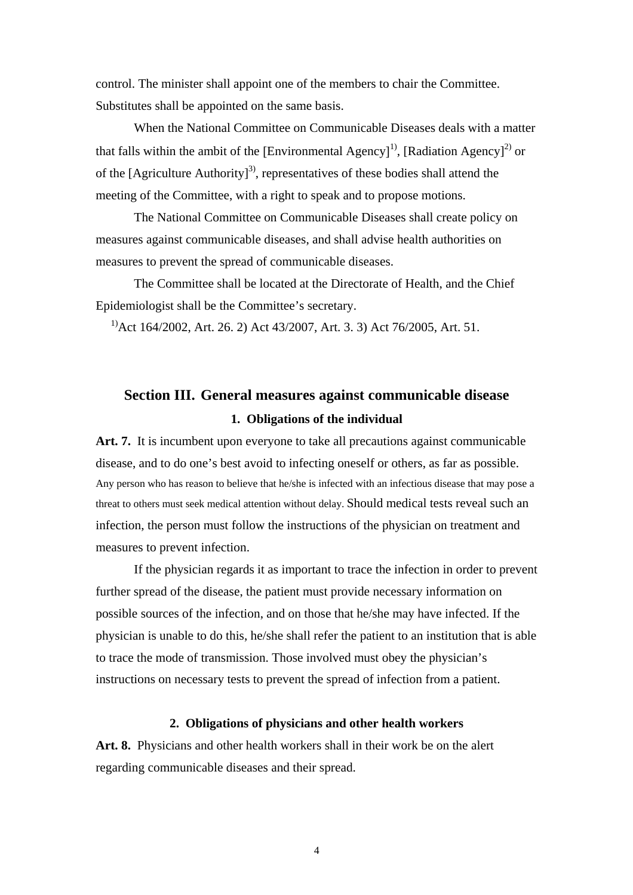control. The minister shall appoint one of the members to chair the Committee. Substitutes shall be appointed on the same basis.

When the National Committee on Communicable Diseases deals with a matter that falls within the ambit of the [Environmental Agency]<sup>1)</sup>, [Radiation Agency]<sup>2)</sup> or of the [Agriculture Authority]<sup>3)</sup>, representatives of these bodies shall attend the meeting of the Committee, with a right to speak and to propose motions.

The National Committee on Communicable Diseases shall create policy on measures against communicable diseases, and shall advise health authorities on measures to prevent the spread of communicable diseases.

The Committee shall be located at the Directorate of Health, and the Chief Epidemiologist shall be the Committee's secretary.

 $1)$ Act 164/2002, Art. 26. 2) Act 43/2007, Art. 3. 3) Act 76/2005, Art. 51.

## **Section III. General measures against communicable disease 1. Obligations of the individual**

**Art. 7.** It is incumbent upon everyone to take all precautions against communicable disease, and to do one's best avoid to infecting oneself or others, as far as possible. Any person who has reason to believe that he/she is infected with an infectious disease that may pose a threat to others must seek medical attention without delay. Should medical tests reveal such an infection, the person must follow the instructions of the physician on treatment and measures to prevent infection.

If the physician regards it as important to trace the infection in order to prevent further spread of the disease, the patient must provide necessary information on possible sources of the infection, and on those that he/she may have infected. If the physician is unable to do this, he/she shall refer the patient to an institution that is able to trace the mode of transmission. Those involved must obey the physician's instructions on necessary tests to prevent the spread of infection from a patient.

#### **2. Obligations of physicians and other health workers**

**Art. 8.** Physicians and other health workers shall in their work be on the alert regarding communicable diseases and their spread.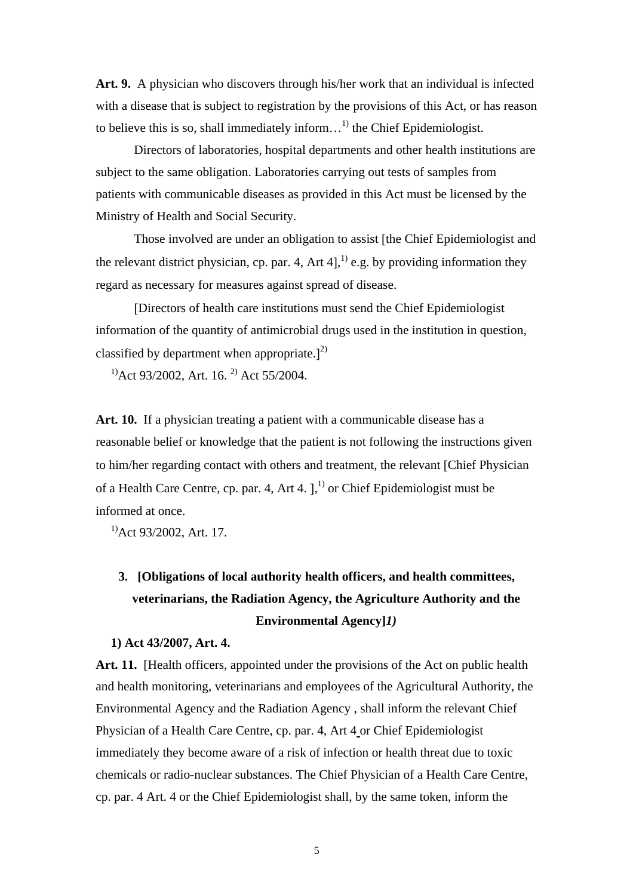**Art. 9.** A physician who discovers through his/her work that an individual is infected with a disease that is subject to registration by the provisions of this Act, or has reason to believe this is so, shall immediately inform...<sup>1)</sup> the Chief Epidemiologist.

Directors of laboratories, hospital departments and other health institutions are subject to the same obligation. Laboratories carrying out tests of samples from patients with communicable diseases as provided in this Act must be licensed by the Ministry of Health and Social Security.

Those involved are under an obligation to assist [the Chief Epidemiologist and the relevant district physician, cp. par. 4, Art 4],<sup>1)</sup> e.g. by providing information they regard as necessary for measures against spread of disease.

[Directors of health care institutions must send the Chief Epidemiologist information of the quantity of antimicrobial drugs used in the institution in question, classified by department when appropriate.] $^{2)}$ 

 $^{11}$ Act 93/2002, Art. 16.<sup>2)</sup> Act 55/2004.

**Art. 10.** If a physician treating a patient with a communicable disease has a reasonable belief or knowledge that the patient is not following the instructions given to him/her regarding contact with others and treatment, the relevant [Chief Physician of a Health Care Centre, cp. par. 4, Art 4.  $]$ <sup>1</sup> or Chief Epidemiologist must be informed at once.

<sup>1</sup>)Act 93/2002, Art. 17.

# **3. [Obligations of local authority health officers, and health committees, veterinarians, the Radiation Agency, the Agriculture Authority and the Environmental Agency]***1)*

#### **1) Act 43/2007, Art. 4.**

Art. 11. [Health officers, appointed under the provisions of the Act on public health and health monitoring, veterinarians and employees of the Agricultural Authority, the Environmental Agency and the Radiation Agency , shall inform the relevant Chief Physician of a Health Care Centre, cp. par. 4, Art 4 or Chief Epidemiologist immediately they become aware of a risk of infection or health threat due to toxic chemicals or radio-nuclear substances. The Chief Physician of a Health Care Centre, cp. par. 4 Art. 4 or the Chief Epidemiologist shall, by the same token, inform the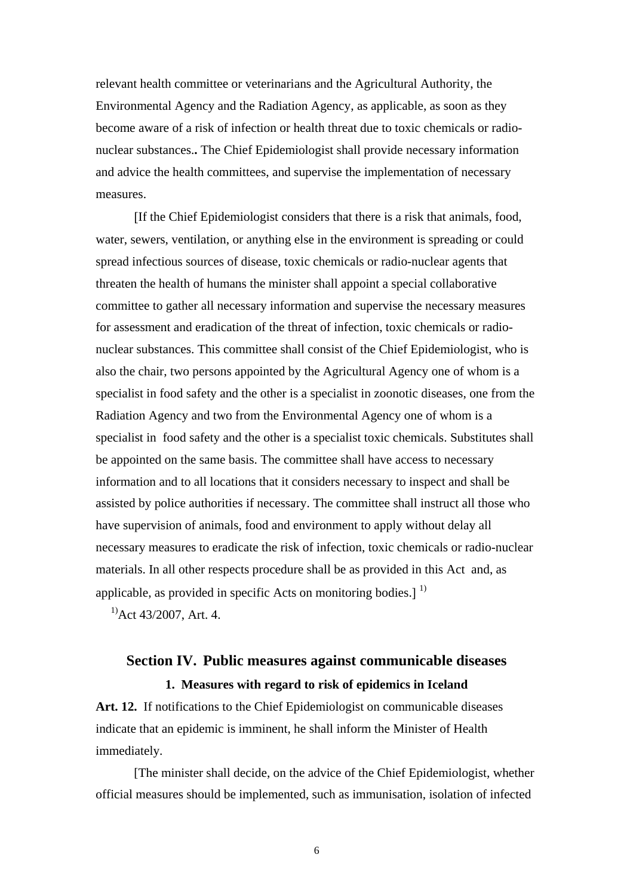relevant health committee or veterinarians and the Agricultural Authority, the Environmental Agency and the Radiation Agency, as applicable, as soon as they become aware of a risk of infection or health threat due to toxic chemicals or radionuclear substances.**.** The Chief Epidemiologist shall provide necessary information and advice the health committees, and supervise the implementation of necessary measures.

[If the Chief Epidemiologist considers that there is a risk that animals, food, water, sewers, ventilation, or anything else in the environment is spreading or could spread infectious sources of disease, toxic chemicals or radio-nuclear agents that threaten the health of humans the minister shall appoint a special collaborative committee to gather all necessary information and supervise the necessary measures for assessment and eradication of the threat of infection, toxic chemicals or radionuclear substances. This committee shall consist of the Chief Epidemiologist, who is also the chair, two persons appointed by the Agricultural Agency one of whom is a specialist in food safety and the other is a specialist in zoonotic diseases, one from the Radiation Agency and two from the Environmental Agency one of whom is a specialist in food safety and the other is a specialist toxic chemicals. Substitutes shall be appointed on the same basis. The committee shall have access to necessary information and to all locations that it considers necessary to inspect and shall be assisted by police authorities if necessary. The committee shall instruct all those who have supervision of animals, food and environment to apply without delay all necessary measures to eradicate the risk of infection, toxic chemicals or radio-nuclear materials. In all other respects procedure shall be as provided in this Act and, as applicable, as provided in specific Acts on monitoring bodies.]<sup>1)</sup>

 $^{11}$ Act 43/2007, Art. 4.

### **Section IV. Public measures against communicable diseases 1. Measures with regard to risk of epidemics in Iceland**

**Art. 12.** If notifications to the Chief Epidemiologist on communicable diseases indicate that an epidemic is imminent, he shall inform the Minister of Health immediately.

[The minister shall decide, on the advice of the Chief Epidemiologist, whether official measures should be implemented, such as immunisation, isolation of infected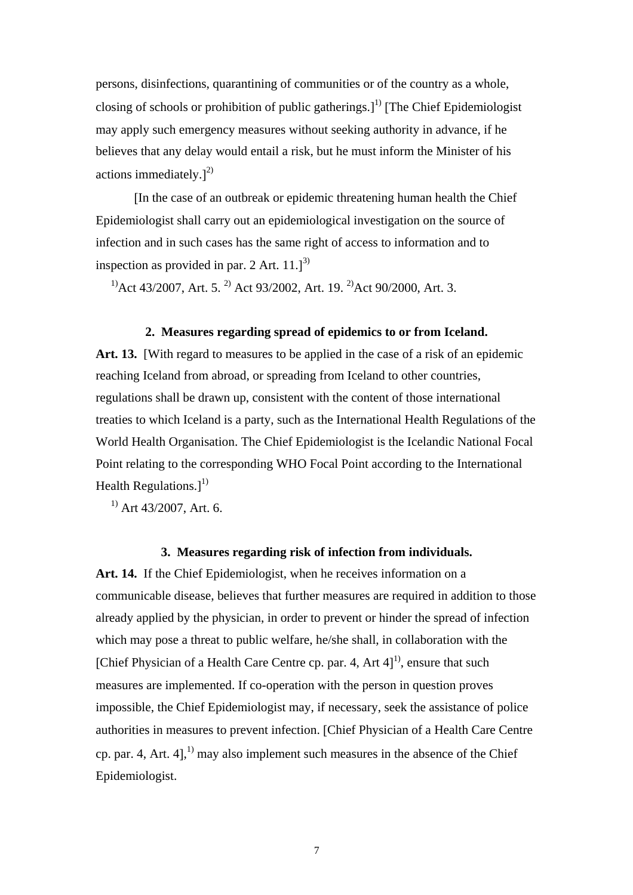persons, disinfections, quarantining of communities or of the country as a whole, closing of schools or prohibition of public gatherings.]<sup>1)</sup> [The Chief Epidemiologist may apply such emergency measures without seeking authority in advance, if he believes that any delay would entail a risk, but he must inform the Minister of his actions immediately.] $^{2)}$ 

[In the case of an outbreak or epidemic threatening human health the Chief Epidemiologist shall carry out an epidemiological investigation on the source of infection and in such cases has the same right of access to information and to inspection as provided in par. 2 Art.  $11.]^{3}$ 

<sup>1)</sup>Act 43/2007, Art. 5.<sup>2)</sup> Act 93/2002, Art. 19.<sup>2)</sup>Act 90/2000, Art. 3.

#### **2. Measures regarding spread of epidemics to or from Iceland.**

**Art. 13.** [With regard to measures to be applied in the case of a risk of an epidemic reaching Iceland from abroad, or spreading from Iceland to other countries, regulations shall be drawn up, consistent with the content of those international treaties to which Iceland is a party, such as the International Health Regulations of the World Health Organisation. The Chief Epidemiologist is the Icelandic National Focal Point relating to the corresponding WHO Focal Point according to the International Health Regulations. $]^{1)}$ 

 $^{1)}$  Art 43/2007, Art. 6.

### **3. Measures regarding risk of infection from individuals.**

**Art. 14.** If the Chief Epidemiologist, when he receives information on a communicable disease, believes that further measures are required in addition to those already applied by the physician, in order to prevent or hinder the spread of infection which may pose a threat to public welfare, he/she shall, in collaboration with the [Chief Physician of a Health Care Centre cp. par. 4, Art  $4]$ <sup>1</sup>, ensure that such measures are implemented. If co-operation with the person in question proves impossible, the Chief Epidemiologist may, if necessary, seek the assistance of police authorities in measures to prevent infection. [Chief Physician of a Health Care Centre cp. par. 4, Art. 4],<sup>1)</sup> may also implement such measures in the absence of the Chief Epidemiologist.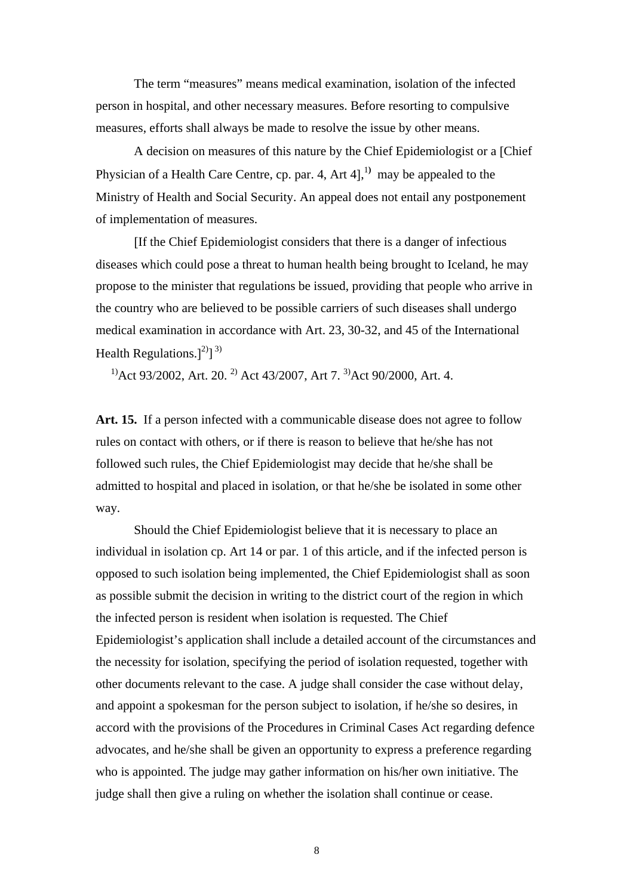The term "measures" means medical examination, isolation of the infected person in hospital, and other necessary measures. Before resorting to compulsive measures, efforts shall always be made to resolve the issue by other means.

A decision on measures of this nature by the Chief Epidemiologist or a [Chief Physician of a Health Care Centre, cp. par. 4, Art 4],<sup>1)</sup> may be appealed to the Ministry of Health and Social Security. An appeal does not entail any postponement of implementation of measures.

[If the Chief Epidemiologist considers that there is a danger of infectious diseases which could pose a threat to human health being brought to Iceland, he may propose to the minister that regulations be issued, providing that people who arrive in the country who are believed to be possible carriers of such diseases shall undergo medical examination in accordance with Art. 23, 30-32, and 45 of the International Health Regulations.] $^{2)}$ ] 3)

<sup>1)</sup>Act 93/2002, Art. 20.<sup>2)</sup> Act 43/2007, Art 7.<sup>3)</sup>Act 90/2000. Art. 4.

**Art. 15.** If a person infected with a communicable disease does not agree to follow rules on contact with others, or if there is reason to believe that he/she has not followed such rules, the Chief Epidemiologist may decide that he/she shall be admitted to hospital and placed in isolation, or that he/she be isolated in some other way.

Should the Chief Epidemiologist believe that it is necessary to place an individual in isolation cp. Art 14 or par. 1 of this article, and if the infected person is opposed to such isolation being implemented, the Chief Epidemiologist shall as soon as possible submit the decision in writing to the district court of the region in which the infected person is resident when isolation is requested. The Chief Epidemiologist's application shall include a detailed account of the circumstances and the necessity for isolation, specifying the period of isolation requested, together with other documents relevant to the case. A judge shall consider the case without delay, and appoint a spokesman for the person subject to isolation, if he/she so desires, in accord with the provisions of the Procedures in Criminal Cases Act regarding defence advocates, and he/she shall be given an opportunity to express a preference regarding who is appointed. The judge may gather information on his/her own initiative. The judge shall then give a ruling on whether the isolation shall continue or cease.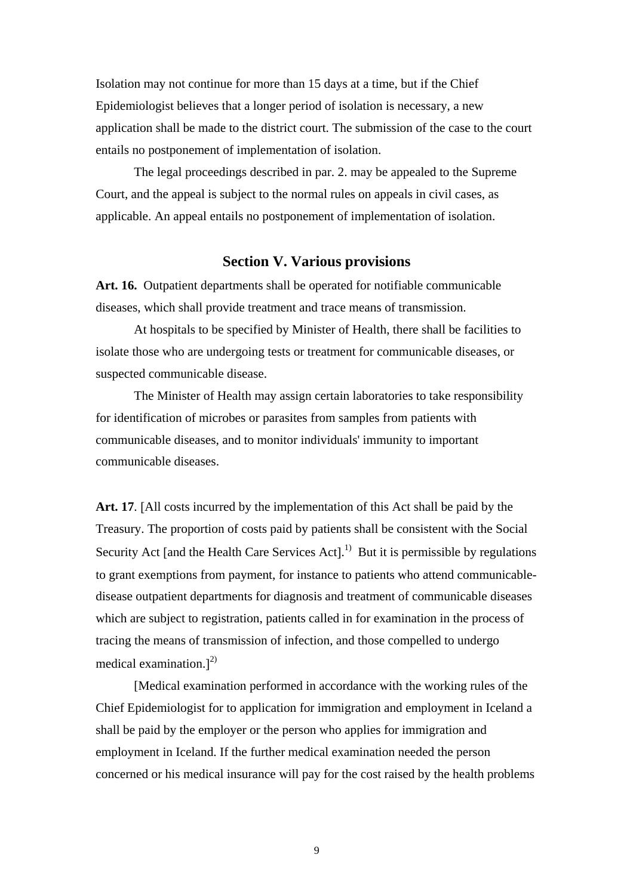Isolation may not continue for more than 15 days at a time, but if the Chief Epidemiologist believes that a longer period of isolation is necessary, a new application shall be made to the district court. The submission of the case to the court entails no postponement of implementation of isolation.

The legal proceedings described in par. 2. may be appealed to the Supreme Court, and the appeal is subject to the normal rules on appeals in civil cases, as applicable. An appeal entails no postponement of implementation of isolation.

### **Section V. Various provisions**

**Art. 16.** Outpatient departments shall be operated for notifiable communicable diseases, which shall provide treatment and trace means of transmission.

At hospitals to be specified by Minister of Health, there shall be facilities to isolate those who are undergoing tests or treatment for communicable diseases, or suspected communicable disease.

The Minister of Health may assign certain laboratories to take responsibility for identification of microbes or parasites from samples from patients with communicable diseases, and to monitor individuals' immunity to important communicable diseases.

**Art. 17**. [All costs incurred by the implementation of this Act shall be paid by the Treasury. The proportion of costs paid by patients shall be consistent with the Social Security Act [and the Health Care Services Act].<sup>1)</sup> But it is permissible by regulations to grant exemptions from payment, for instance to patients who attend communicabledisease outpatient departments for diagnosis and treatment of communicable diseases which are subject to registration, patients called in for examination in the process of tracing the means of transmission of infection, and those compelled to undergo medical examination.] $^{2)}$ 

 [Medical examination performed in accordance with the working rules of the Chief Epidemiologist for to application for immigration and employment in Iceland a shall be paid by the employer or the person who applies for immigration and employment in Iceland. If the further medical examination needed the person concerned or his medical insurance will pay for the cost raised by the health problems